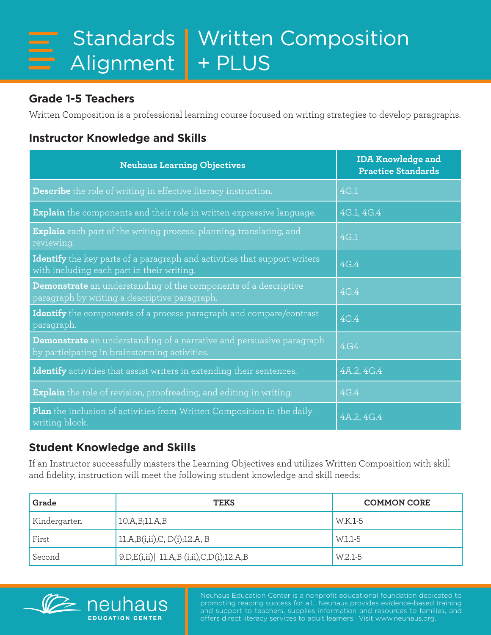## **Grade 1-5 Teachers**

Written Composition is a professional learning course focused on writing strategies to develop paragraphs.

## **Instructor Knowledge and Skills**

| <b>Neuhaus Learning Objectives</b>                                                                                             | <b>IDA Knowledge and</b><br><b>Practice Standards</b> |
|--------------------------------------------------------------------------------------------------------------------------------|-------------------------------------------------------|
| Describe the role of writing in effective literacy instruction.                                                                | 4G.1                                                  |
| <b>Explain</b> the components and their role in written expressive language.                                                   | 4G.1, 4G.4                                            |
| <b>Explain</b> each part of the writing process: planning, translating, and<br>reviewing.                                      | 4G.1                                                  |
| <b>Identify</b> the key parts of a paragraph and activities that support writers<br>with including each part in their writing. | 4G.4                                                  |
| Demonstrate an understanding of the components of a descriptive<br>paragraph by writing a descriptive paragraph.               | 4G.4                                                  |
| Identify the components of a process paragraph and compare/contrast<br>paragraph.                                              | 4G.4                                                  |
| <b>Demonstrate</b> an understanding of a narrative and persuasive paragraph<br>by participating in brainstorming activities.   | 4.G4                                                  |
| Identify activities that assist writers in extending their sentences.                                                          | 4A.2, 4G.4                                            |
| <b>Explain</b> the role of revision, proofreading, and editing in writing.                                                     | 4G.4                                                  |
| <b>Plan</b> the inclusion of activities from Written Composition in the daily<br>writing block.                                | 4A.2, 4G.4                                            |

## **Student Knowledge and Skills**

**FDUCATION CENTER** 

If an Instructor successfully masters the Learning Objectives and utilizes Written Composition with skill and fidelity, instruction will meet the following student knowledge and skill needs:

| Grade        | <b>TEKS</b>                                 | <b>COMMON CORE</b> |
|--------------|---------------------------------------------|--------------------|
| Kindergarten | 10.A,B;11.A,B                               | W.K.1-5            |
| First        | 11.A,B(i,ii),C, D(i);12.A, B                | W.1.1-5            |
| Second       | $ 9.D,E(i,ii)  11.A.B (i,ii).C,D(i);12.A.B$ | W.2.1-5            |



Neuhaus Education Center is a nonprofit educational foundation dedicated to promoting reading success for all. Neuhaus provides evidence-based training and support to teachers, supplies information and resources to families, and offers direct literacy services to adult learners. Visit www.neuhaus.org.